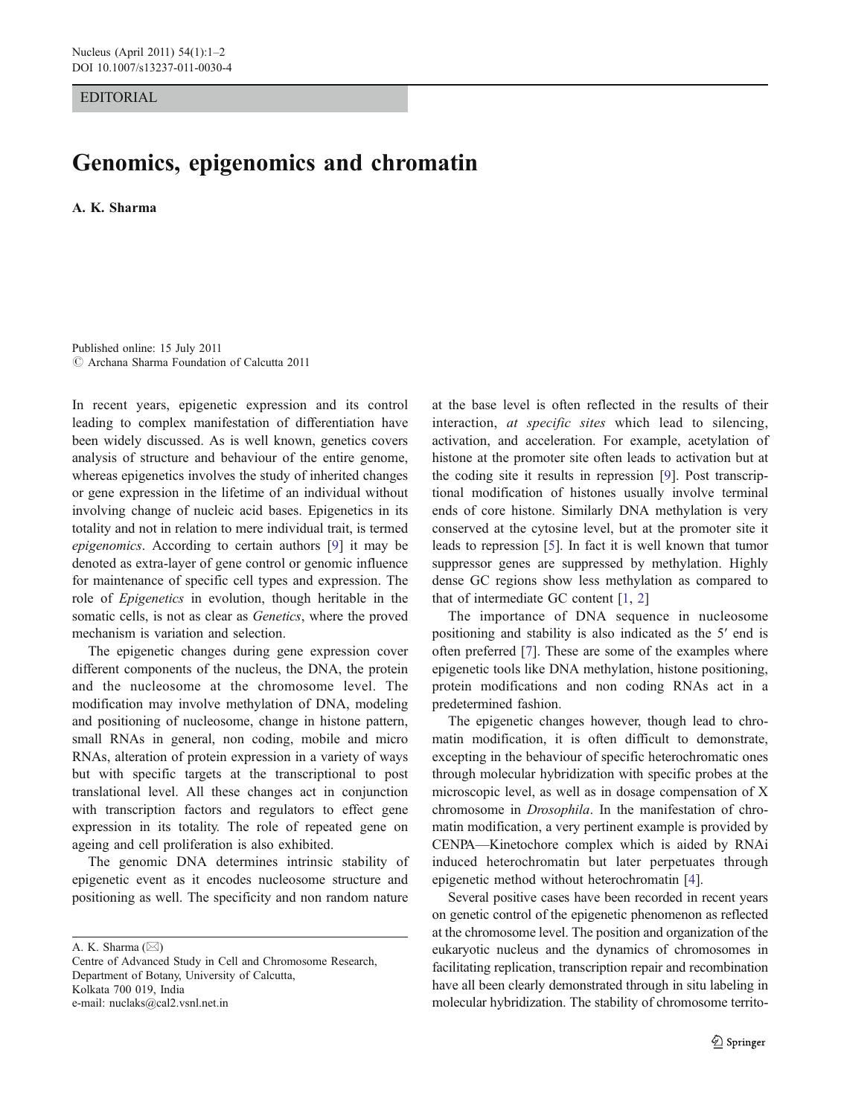EDITORIAL

## Genomics, epigenomics and chromatin

A. K. Sharma

Published online: 15 July 2011  $\oslash$  Archana Sharma Foundation of Calcutta 2011

In recent years, epigenetic expression and its control leading to complex manifestation of differentiation have been widely discussed. As is well known, genetics covers analysis of structure and behaviour of the entire genome, whereas epigenetics involves the study of inherited changes or gene expression in the lifetime of an individual without involving change of nucleic acid bases. Epigenetics in its totality and not in relation to mere individual trait, is termed epigenomics. According to certain authors [\[9](#page-1-0)] it may be denoted as extra-layer of gene control or genomic influence for maintenance of specific cell types and expression. The role of Epigenetics in evolution, though heritable in the somatic cells, is not as clear as Genetics, where the proved mechanism is variation and selection.

The epigenetic changes during gene expression cover different components of the nucleus, the DNA, the protein and the nucleosome at the chromosome level. The modification may involve methylation of DNA, modeling and positioning of nucleosome, change in histone pattern, small RNAs in general, non coding, mobile and micro RNAs, alteration of protein expression in a variety of ways but with specific targets at the transcriptional to post translational level. All these changes act in conjunction with transcription factors and regulators to effect gene expression in its totality. The role of repeated gene on ageing and cell proliferation is also exhibited.

The genomic DNA determines intrinsic stability of epigenetic event as it encodes nucleosome structure and positioning as well. The specificity and non random nature

A. K. Sharma  $(\boxtimes)$ 

Centre of Advanced Study in Cell and Chromosome Research, Department of Botany, University of Calcutta, Kolkata 700 019, India e-mail: nuclaks@cal2.vsnl.net.in

at the base level is often reflected in the results of their interaction, at specific sites which lead to silencing, activation, and acceleration. For example, acetylation of histone at the promoter site often leads to activation but at the coding site it results in repression [[9\]](#page-1-0). Post transcriptional modification of histones usually involve terminal ends of core histone. Similarly DNA methylation is very conserved at the cytosine level, but at the promoter site it leads to repression [\[5](#page-1-0)]. In fact it is well known that tumor suppressor genes are suppressed by methylation. Highly dense GC regions show less methylation as compared to that of intermediate GC content [[1,](#page-1-0) [2\]](#page-1-0)

The importance of DNA sequence in nucleosome positioning and stability is also indicated as the 5′ end is often preferred [\[7](#page-1-0)]. These are some of the examples where epigenetic tools like DNA methylation, histone positioning, protein modifications and non coding RNAs act in a predetermined fashion.

The epigenetic changes however, though lead to chromatin modification, it is often difficult to demonstrate, excepting in the behaviour of specific heterochromatic ones through molecular hybridization with specific probes at the microscopic level, as well as in dosage compensation of X chromosome in Drosophila. In the manifestation of chromatin modification, a very pertinent example is provided by CENPA—Kinetochore complex which is aided by RNAi induced heterochromatin but later perpetuates through epigenetic method without heterochromatin [[4\]](#page-1-0).

Several positive cases have been recorded in recent years on genetic control of the epigenetic phenomenon as reflected at the chromosome level. The position and organization of the eukaryotic nucleus and the dynamics of chromosomes in facilitating replication, transcription repair and recombination have all been clearly demonstrated through in situ labeling in molecular hybridization. The stability of chromosome territo